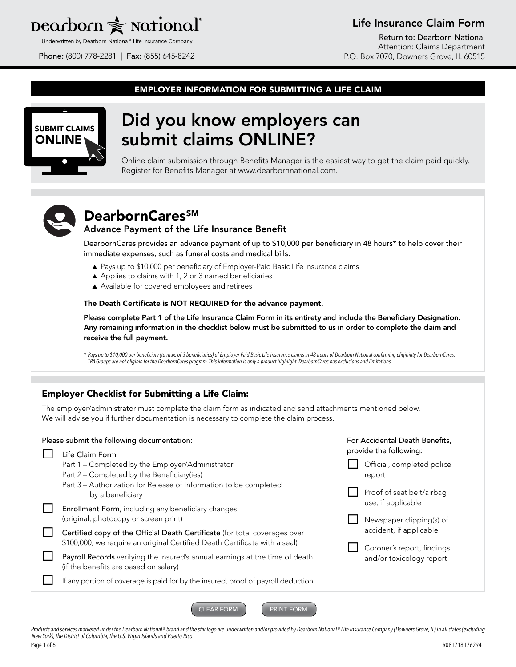## $\rm{pearbon} \geqslant \rm{rational}^*$

Underwritten by Dearborn National® Life Insurance Company

Phone: (800) 778-2281 | Fax: (855) 645-8242

## Life Insurance Claim Form

Return to: Dearborn National Attention: Claims Department P.O. Box 7070, Downers Grove, IL 60515

#### EMPLOYER INFORMATION FOR SUBMITTING A LIFE CLAIM



## Did you know employers can submit claims ONLINE?

Online claim submission through Benefits Manager is the easiest way to get the claim paid quickly. Register for Benefits Manager at www.dearbornnational.com.



## DearbornCares<sup>SM</sup> Advance Payment of the Life Insurance Benefit

DearbornCares provides an advance payment of up to \$10,000 per beneficiary in 48 hours\* to help cover their immediate expenses, such as funeral costs and medical bills.

- ▲ Pays up to \$10,000 per beneficiary of Employer-Paid Basic Life insurance claims
- ▲ Applies to claims with 1, 2 or 3 named beneficiaries
- ▲ Available for covered employees and retirees

#### The Death Certificate is NOT REQUIRED for the advance payment.

Please complete Part 1 of the Life Insurance Claim Form in its entirety and include the Beneficiary Designation. Any remaining information in the checklist below must be submitted to us in order to complete the claim and receive the full payment.

*\* Pays up to \$10,000 per beneficiary (to max. of 3 beneficiaries) of Employer-Paid Basic Life insurance claims in 48 hours of Dearborn National confirming eligibility for DearbornCares. TPA Groups are not eligible for the DearbornCares program. This information is only a product highlight. DearbornCares has exclusions and limitations.* 

### Employer Checklist for Submitting a Life Claim:

The employer/administrator must complete the claim form as indicated and send attachments mentioned below. We will advise you if further documentation is necessary to complete the claim process.

| Please submit the following documentation:<br>Life Claim Form                                                                                            | For Accidental Death Benefits,<br>provide the following: |
|----------------------------------------------------------------------------------------------------------------------------------------------------------|----------------------------------------------------------|
| Part 1 – Completed by the Employer/Administrator<br>Part 2 – Completed by the Beneficiary (ies)                                                          | Official, completed police<br>report                     |
| Part 3 - Authorization for Release of Information to be completed<br>by a beneficiary                                                                    | Proof of seat belt/airbag<br>use, if applicable          |
| Enrollment Form, including any beneficiary changes<br>(original, photocopy or screen print)                                                              | Newspaper clipping(s) of                                 |
| Certified copy of the Official Death Certificate (for total coverages over<br>\$100,000, we require an original Certified Death Certificate with a seal) | accident, if applicable<br>Coroner's report, findings    |
| Payroll Records verifying the insured's annual earnings at the time of death<br>(if the benefits are based on salary)                                    | and/or toxicology report                                 |
| If any portion of coverage is paid for by the insured, proof of payroll deduction.                                                                       |                                                          |
|                                                                                                                                                          |                                                          |

Products and services marketed under the Dearborn National® brand and the star logo are underwritten and/or provided by Dearborn National® Life Insurance Company (Downers Grove, IL) in all states (excluding *New York), the District of Columbia, the U.S. Virgin Islands and Puerto Rico.*  Page 1 of 6 R081718 I Z6294

CLEAR FORM **PRINT FORM**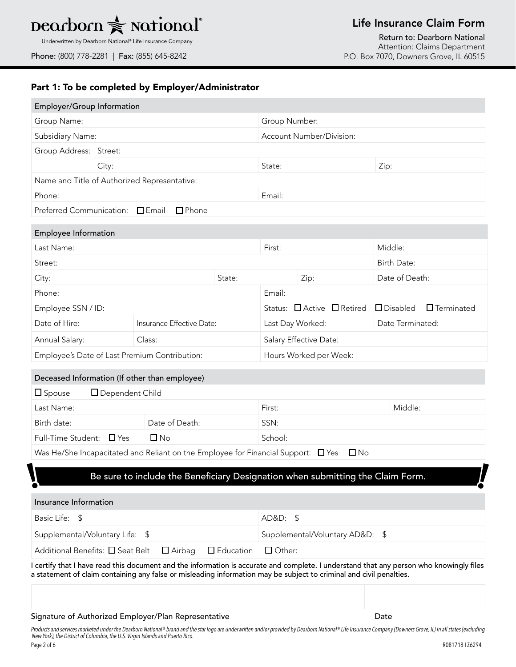# **Dearborn <del></del>**★ **National**®

Underwritten by Dearborn National® Life Insurance Company

Phone: (800) 778-2281 | Fax: (855) 645-8242

## Life Insurance Claim Form

Return to: Dearborn National Attention: Claims Department P.O. Box 7070, Downers Grove, IL 60515

### Part 1: To be completed by Employer/Administrator

| Employer/Group Information                                            |                 |                                                                                                                                                                                                                                                                |                                 |                        |                  |                            |                    |                   |
|-----------------------------------------------------------------------|-----------------|----------------------------------------------------------------------------------------------------------------------------------------------------------------------------------------------------------------------------------------------------------------|---------------------------------|------------------------|------------------|----------------------------|--------------------|-------------------|
| Group Name:                                                           |                 |                                                                                                                                                                                                                                                                | Group Number:                   |                        |                  |                            |                    |                   |
| Subsidiary Name:                                                      |                 |                                                                                                                                                                                                                                                                | Account Number/Division:        |                        |                  |                            |                    |                   |
| Group Address: Street:                                                |                 |                                                                                                                                                                                                                                                                |                                 |                        |                  |                            |                    |                   |
|                                                                       | City:           |                                                                                                                                                                                                                                                                |                                 | State:                 |                  |                            | Zip:               |                   |
|                                                                       |                 | Name and Title of Authorized Representative:                                                                                                                                                                                                                   |                                 |                        |                  |                            |                    |                   |
| Phone:                                                                |                 |                                                                                                                                                                                                                                                                |                                 | Email:                 |                  |                            |                    |                   |
| Preferred Communication: □ Email                                      |                 | $\Box$ Phone                                                                                                                                                                                                                                                   |                                 |                        |                  |                            |                    |                   |
| <b>Employee Information</b>                                           |                 |                                                                                                                                                                                                                                                                |                                 |                        |                  |                            |                    |                   |
| Last Name:                                                            |                 |                                                                                                                                                                                                                                                                |                                 | First:                 |                  |                            | Middle:            |                   |
| Street:                                                               |                 |                                                                                                                                                                                                                                                                |                                 |                        |                  |                            | Birth Date:        |                   |
| City:                                                                 |                 |                                                                                                                                                                                                                                                                | State:                          |                        | Zip:             |                            | Date of Death:     |                   |
| Phone:                                                                |                 |                                                                                                                                                                                                                                                                |                                 | Email:                 |                  |                            |                    |                   |
| Employee SSN / ID:                                                    |                 |                                                                                                                                                                                                                                                                |                                 |                        |                  | Status: □ Active □ Retired | $\square$ Disabled | $\Box$ Terminated |
| Date of Hire:                                                         |                 | Insurance Effective Date:                                                                                                                                                                                                                                      |                                 |                        | Last Day Worked: |                            | Date Terminated:   |                   |
| Annual Salary:<br>Class:                                              |                 | Salary Effective Date:                                                                                                                                                                                                                                         |                                 |                        |                  |                            |                    |                   |
|                                                                       |                 | Employee's Date of Last Premium Contribution:                                                                                                                                                                                                                  |                                 | Hours Worked per Week: |                  |                            |                    |                   |
|                                                                       |                 | Deceased Information (If other than employee)                                                                                                                                                                                                                  |                                 |                        |                  |                            |                    |                   |
| $\square$ Spouse                                                      | Dependent Child |                                                                                                                                                                                                                                                                |                                 |                        |                  |                            |                    |                   |
| Last Name:                                                            |                 |                                                                                                                                                                                                                                                                |                                 | First:                 |                  |                            | Middle:            |                   |
| Birth date:                                                           |                 | Date of Death:                                                                                                                                                                                                                                                 |                                 | SSN:                   |                  |                            |                    |                   |
| Full-Time Student: □ Yes                                              |                 | $\Box$ No                                                                                                                                                                                                                                                      |                                 | School:                |                  |                            |                    |                   |
|                                                                       |                 | Was He/She Incapacitated and Reliant on the Employee for Financial Support: $\Box$ Yes                                                                                                                                                                         |                                 |                        |                  | $\Box$ No                  |                    |                   |
|                                                                       |                 | Be sure to include the Beneficiary Designation when submitting the Claim Form.                                                                                                                                                                                 |                                 |                        |                  |                            |                    |                   |
|                                                                       |                 |                                                                                                                                                                                                                                                                |                                 |                        |                  |                            |                    |                   |
| Insurance Information                                                 |                 |                                                                                                                                                                                                                                                                |                                 |                        |                  |                            |                    |                   |
| Basic Life: \$                                                        |                 |                                                                                                                                                                                                                                                                | AD&D: \$                        |                        |                  |                            |                    |                   |
| Supplemental/Voluntary Life: \$                                       |                 |                                                                                                                                                                                                                                                                | Supplemental/Voluntary AD&D: \$ |                        |                  |                            |                    |                   |
| Additional Benefits: □ Seat Belt<br>$\Box$ Airbag<br>$\Box$ Education |                 |                                                                                                                                                                                                                                                                |                                 | $\Box$ Other:          |                  |                            |                    |                   |
|                                                                       |                 | I certify that I have read this document and the information is accurate and complete. I understand that any person who knowingly files<br>a statement of claim containing any false or misleading information may be subject to criminal and civil penalties. |                                 |                        |                  |                            |                    |                   |
|                                                                       |                 |                                                                                                                                                                                                                                                                |                                 |                        |                  |                            |                    |                   |
|                                                                       |                 | Signature of Authorized Employer/Plan Representative                                                                                                                                                                                                           |                                 |                        |                  |                            | Date               |                   |

*Products and services marketed under the Dearborn National® brand and the star logo are underwritten and/or provided by Dearborn National® Life Insurance Company (Downers Grove, IL) in all states (excluding New York), the District of Columbia, the U.S. Virgin Islands and Puerto Rico.*  Page 2 of 6 R081718 I Z6294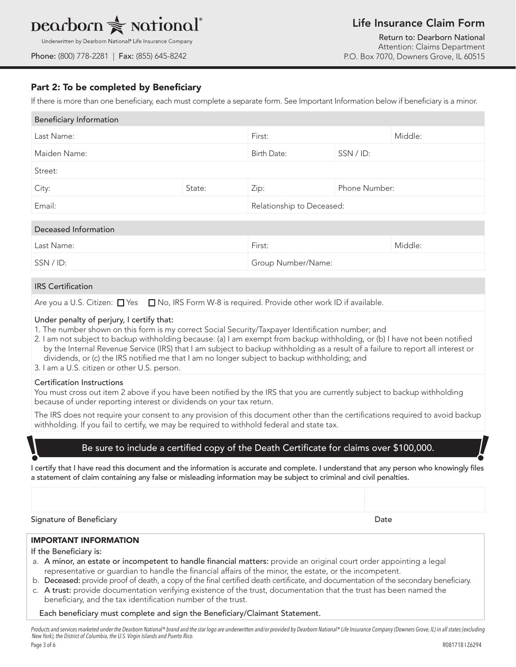## $\rm{pearbon}$   $\geqslant$  national

## Life Insurance Claim Form

Underwritten by Dearborn National® Life Insurance Company

Phone: (800) 778-2281 | Fax: (855) 645-8242

Return to: Dearborn National Attention: Claims Department P.O. Box 7070, Downers Grove, IL 60515

### Part 2: To be completed by Beneficiary

If there is more than one beneficiary, each must complete a separate form. See Important Information below if beneficiary is a minor.

| <b>Beneficiary Information</b> |                           |             |               |  |  |  |
|--------------------------------|---------------------------|-------------|---------------|--|--|--|
| Last Name:                     |                           | First:      | Middle:       |  |  |  |
| Maiden Name:                   |                           | Birth Date: | SSN / ID:     |  |  |  |
| Street:                        |                           |             |               |  |  |  |
| City:                          | State:                    | Zip:        | Phone Number: |  |  |  |
| Email:                         | Relationship to Deceased: |             |               |  |  |  |

| Deceased Information |                    |         |
|----------------------|--------------------|---------|
| Last Name:           | First:             | Middle: |
| SSN / ID:            | Group Number/Name: |         |

#### IRS Certification

Are you a U.S. Citizen:  $\Box$  Yes  $\Box$  No, IRS Form W-8 is required. Provide other work ID if available.

#### Under penalty of perjury, I certify that:

1. The number shown on this form is my correct Social Security/Taxpayer Identification number; and

2. I am not subject to backup withholding because: (a) I am exempt from backup withholding, or (b) I have not been notified by the Internal Revenue Service (IRS) that I am subject to backup withholding as a result of a failure to report all interest or dividends, or (c) the IRS notified me that I am no longer subject to backup withholding; and

3. I am a U.S. citizen or other U.S. person.

#### Certification Instructions

You must cross out item 2 above if you have been notified by the IRS that you are currently subject to backup withholding because of under reporting interest or dividends on your tax return.

The IRS does not require your consent to any provision of this document other than the certifications required to avoid backup withholding. If you fail to certify, we may be required to withhold federal and state tax.

#### Be sure to include a certified copy of the Death Certificate for claims over \$100,000.

I certify that I have read this document and the information is accurate and complete. I understand that any person who knowingly files a statement of claim containing any false or misleading information may be subject to criminal and civil penalties.

Signature of Beneficiary **Date** 

#### IMPORTANT INFORMATION

If the Beneficiary is:

- a. A minor, an estate or incompetent to handle financial matters: provide an original court order appointing a legal representative or guardian to handle the financial affairs of the minor, the estate, or the incompetent.
- b. Deceased: provide proof of death, a copy of the final certified death certificate, and documentation of the secondary beneficiary.
- c. A trust: provide documentation verifying existence of the trust, documentation that the trust has been named the beneficiary, and the tax identification number of the trust.

#### Each beneficiary must complete and sign the Beneficiary/Claimant Statement.

*Products and services marketed under the Dearborn National® brand and the star logo are underwritten and/or provided by Dearborn National® Life Insurance Company (Downers Grove, IL) in all states (excluding New York), the District of Columbia, the U.S. Virgin Islands and Puerto Rico.* 

**\** 

**!!**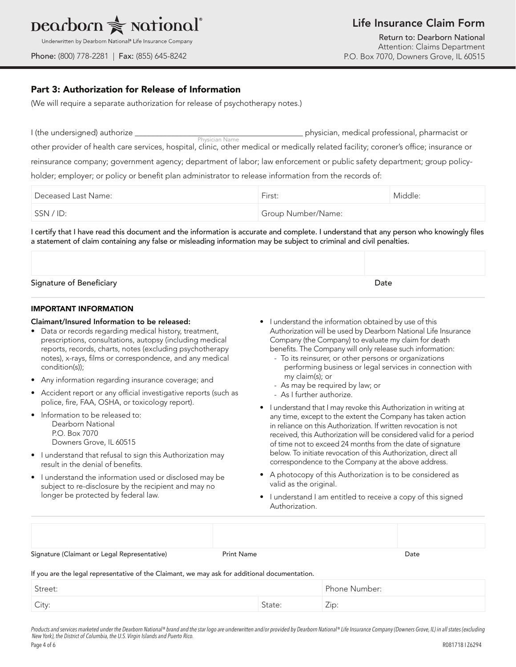

|  |  |  |  |  |  |  | Underwritten by Dearborn National® Life Insurance Company |
|--|--|--|--|--|--|--|-----------------------------------------------------------|
|--|--|--|--|--|--|--|-----------------------------------------------------------|

## Life Insurance Claim Form

Return to: Dearborn National Attention: Claims Department P.O. Box 7070, Downers Grove, IL 60515

Phone: (800) 778-2281 | Fax: (855) 645-8242

#### Part 3: Authorization for Release of Information

(We will require a separate authorization for release of psychotherapy notes.)

| I (the undersigned) authorize _                                                                                                                         | physician, medical professional, pharmacist or |
|---------------------------------------------------------------------------------------------------------------------------------------------------------|------------------------------------------------|
| Physician Name<br>other provider of health care services, hospital, clinic, other medical or medically related facility; coroner's office; insurance or |                                                |
| reinsurance company; government agency; department of labor; law enforcement or public safety department; group policy-                                 |                                                |
| holder; employer; or policy or benefit plan administrator to release information from the records of:                                                   |                                                |

| Deceased Last Name: | First:             | Middle: |
|---------------------|--------------------|---------|
| SSN / ID:           | Group Number/Name: |         |

I certify that I have read this document and the information is accurate and complete. I understand that any person who knowingly files a statement of claim containing any false or misleading information may be subject to criminal and civil penalties.

| Signature of Beneficiary | Date |
|--------------------------|------|

#### IMPORTANT INFORMATION

#### Claimant/Insured Information to be released:

- Data or records regarding medical history, treatment, prescriptions, consultations, autopsy (including medical reports, records, charts, notes (excluding psychotherapy notes), x-rays, films or correspondence, and any medical condition(s));
- Any information regarding insurance coverage; and
- Accident report or any official investigative reports (such as police, fire, FAA, OSHA, or toxicology report).
- Information to be released to: Dearborn National P.O. Box 7070 Downers Grove, IL 60515
- I understand that refusal to sign this Authorization may result in the denial of benefits.
- I understand the information used or disclosed may be subject to re-disclosure by the recipient and may no longer be protected by federal law.
- I understand the information obtained by use of this Authorization will be used by Dearborn National Life Insurance Company (the Company) to evaluate my claim for death benefits. The Company will only release such information:
	- To its reinsurer, or other persons or organizations performing business or legal services in connection with my claim(s); or
	- As may be required by law; or
	- As I further authorize.
- I understand that I may revoke this Authorization in writing at any time, except to the extent the Company has taken action in reliance on this Authorization. If written revocation is not received, this Authorization will be considered valid for a period of time not to exceed 24 months from the date of signature below. To initiate revocation of this Authorization, direct all correspondence to the Company at the above address.
- A photocopy of this Authorization is to be considered as valid as the original.
- I understand I am entitled to receive a copy of this signed Authorization.

| Signature (Claimant or Legal Representative) | Print Name | Date |
|----------------------------------------------|------------|------|

If you are the legal representative of the Claimant, we may ask for additional documentation.

| Street: |        | Phone Number: |
|---------|--------|---------------|
| City:   | State: | Zip:          |

*Products and services marketed under the Dearborn National® brand and the star logo are underwritten and/or provided by Dearborn National® Life Insurance Company (Downers Grove, IL) in all states (excluding New York), the District of Columbia, the U.S. Virgin Islands and Puerto Rico.*  Page 4 of 6 R081718 I Z6294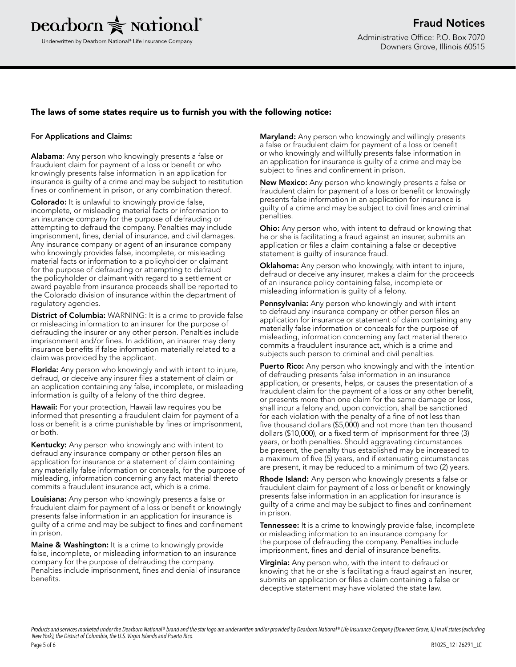

#### The laws of some states require us to furnish you with the following notice:

#### For Applications and Claims:

Alabama: Any person who knowingly presents a false or fraudulent claim for payment of a loss or benefit or who knowingly presents false information in an application for insurance is guilty of a crime and may be subject to restitution fines or confinement in prison, or any combination thereof.

Colorado: It is unlawful to knowingly provide false, incomplete, or misleading material facts or information to an insurance company for the purpose of defrauding or attempting to defraud the company. Penalties may include imprisonment, fines, denial of insurance, and civil damages. Any insurance company or agent of an insurance company who knowingly provides false, incomplete, or misleading material facts or information to a policyholder or claimant for the purpose of defrauding or attempting to defraud the policyholder or claimant with regard to a settlement or award payable from insurance proceeds shall be reported to the Colorado division of insurance within the department of regulatory agencies.

District of Columbia: WARNING: It is a crime to provide false or misleading information to an insurer for the purpose of defrauding the insurer or any other person. Penalties include imprisonment and/or fines. In addition, an insurer may deny insurance benefits if false information materially related to a claim was provided by the applicant.

Florida: Any person who knowingly and with intent to injure, defraud, or deceive any insurer files a statement of claim or an application containing any false, incomplete, or misleading information is guilty of a felony of the third degree.

Hawaii: For your protection, Hawaii law requires you be informed that presenting a fraudulent claim for payment of a loss or benefit is a crime punishable by fines or imprisonment, or both.

Kentucky: Any person who knowingly and with intent to defraud any insurance company or other person files an application for insurance or a statement of claim containing any materially false information or conceals, for the purpose of misleading, information concerning any fact material thereto commits a fraudulent insurance act, which is a crime.

Louisiana: Any person who knowingly presents a false or fraudulent claim for payment of a loss or benefit or knowingly presents false information in an application for insurance is guilty of a crime and may be subject to fines and confinement in prison.

**Maine & Washington:** It is a crime to knowingly provide false, incomplete, or misleading information to an insurance company for the purpose of defrauding the company. Penalties include imprisonment, fines and denial of insurance benefits.

Maryland: Any person who knowingly and willingly presents a false or fraudulent claim for payment of a loss or benefit or who knowingly and willfully presents false information in an application for insurance is guilty of a crime and may be subject to fines and confinement in prison.

New Mexico: Any person who knowingly presents a false or fraudulent claim for payment of a loss or benefit or knowingly presents false information in an application for insurance is guilty of a crime and may be subject to civil fines and criminal penalties.

**Ohio:** Any person who, with intent to defraud or knowing that he or she is facilitating a fraud against an insurer, submits an application or files a claim containing a false or deceptive statement is guilty of insurance fraud.

**Oklahoma:** Any person who knowingly, with intent to injure, defraud or deceive any insurer, makes a claim for the proceeds of an insurance policy containing false, incomplete or misleading information is guilty of a felony.

Pennsylvania: Any person who knowingly and with intent to defraud any insurance company or other person files an application for insurance or statement of claim containing any materially false information or conceals for the purpose of misleading, information concerning any fact material thereto commits a fraudulent insurance act, which is a crime and subjects such person to criminal and civil penalties.

**Puerto Rico:** Any person who knowingly and with the intention of defrauding presents false information in an insurance application, or presents, helps, or causes the presentation of a fraudulent claim for the payment of a loss or any other benefit, or presents more than one claim for the same damage or loss, shall incur a felony and, upon conviction, shall be sanctioned for each violation with the penalty of a fine of not less than five thousand dollars (\$5,000) and not more than ten thousand dollars (\$10,000), or a fixed term of imprisonment for three (3) years, or both penalties. Should aggravating circumstances be present, the penalty thus established may be increased to a maximum of five (5) years, and if extenuating circumstances are present, it may be reduced to a minimum of two (2) years.

Rhode Island: Any person who knowingly presents a false or fraudulent claim for payment of a loss or benefit or knowingly presents false information in an application for insurance is guilty of a crime and may be subject to fines and confinement in prison.

**Tennessee:** It is a crime to knowingly provide false, incomplete or misleading information to an insurance company for the purpose of defrauding the company. Penalties include imprisonment, fines and denial of insurance benefits.

**Virginia:** Any person who, with the intent to defraud or knowing that he or she is facilitating a fraud against an insurer, submits an application or files a claim containing a false or deceptive statement may have violated the state law.

*Products and services marketed under the Dearborn National® brand and the star logo are underwritten and/or provided by Dearborn National® Life Insurance Company (Downers Grove, IL) in all states (excluding New York), the District of Columbia, the U.S. Virgin Islands and Puerto Rico.*  Page 5 of 6 R1025\_12 I Z6291\_LC